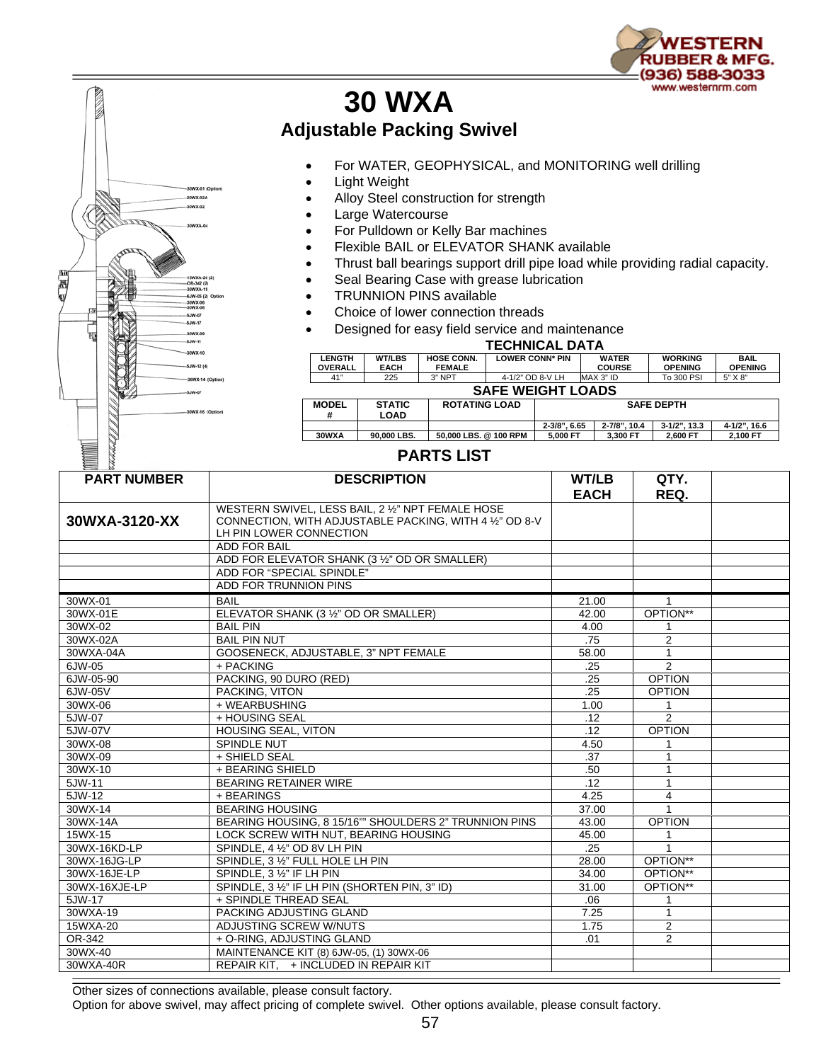

## **30 WXA Adjustable Packing Swivel**

- For WATER, GEOPHYSICAL, and MONITORING well drilling
- Light Weight

20WX-02A X-02

SJW-11 WX-1 W-12 (4)

四足

- Alloy Steel construction for strength
- Large Watercourse
- For Pulldown or Kelly Bar machines
- Flexible BAIL or ELEVATOR SHANK available
- Thrust ball bearings support drill pipe load while providing radial capacity.
- Seal Bearing Case with grease lubrication
- TRUNNION PINS available
- Choice of lower connection threads
- Designed for easy field service and maintenance

| <b>TECHNICAL DATA</b>           |                              |                                    |                        |                   |                               |                                  |                               |  |  |  |  |
|---------------------------------|------------------------------|------------------------------------|------------------------|-------------------|-------------------------------|----------------------------------|-------------------------------|--|--|--|--|
| <b>LENGTH</b><br><b>OVERALL</b> | <b>WT/LBS</b><br><b>EACH</b> | <b>HOSE CONN.</b><br><b>FEMALE</b> | <b>LOWER CONN* PIN</b> |                   | <b>WATER</b><br><b>COURSE</b> | <b>WORKING</b><br><b>OPENING</b> | <b>BAIL</b><br><b>OPENING</b> |  |  |  |  |
| 41"                             | 225                          | 3" NPT                             | 4-1/2" OD 8-V LH       |                   | MAX 3" ID                     | To 300 PSI                       | 5" X 8"                       |  |  |  |  |
| <b>SAFE WEIGHT LOADS</b>        |                              |                                    |                        |                   |                               |                                  |                               |  |  |  |  |
| <b>MODEL</b><br>#               | <b>STATIC</b><br><b>LOAD</b> | <b>ROTATING LOAD</b>               |                        | <b>SAFE DEPTH</b> |                               |                                  |                               |  |  |  |  |
|                                 |                              |                                    |                        | $2 - 3/8$ ", 6.65 | 2-7/8", 10.4                  | $3-1/2$ ". 13.3                  | 4-1/2", 16.6                  |  |  |  |  |
| 30WXA                           | 90.000 LBS.                  | 50.000 LBS. @ 100 RPM              |                        | 5.000 FT          | 3.300 FT                      | 2.600 FT                         | 2.100 FT                      |  |  |  |  |

## **PARTS LIST**

| <b>PART NUMBER</b> | <b>DESCRIPTION</b>                                      | WT/LB       | QTY.           |  |
|--------------------|---------------------------------------------------------|-------------|----------------|--|
|                    |                                                         | <b>EACH</b> | REQ.           |  |
|                    | WESTERN SWIVEL, LESS BAIL, 2 1/2" NPT FEMALE HOSE       |             |                |  |
| 30WXA-3120-XX      | CONNECTION, WITH ADJUSTABLE PACKING, WITH 4 1/2" OD 8-V |             |                |  |
|                    | LH PIN LOWER CONNECTION                                 |             |                |  |
|                    | <b>ADD FOR BAIL</b>                                     |             |                |  |
|                    | ADD FOR ELEVATOR SHANK (3 1/2" OD OR SMALLER)           |             |                |  |
|                    | ADD FOR "SPECIAL SPINDLE"                               |             |                |  |
|                    | ADD FOR TRUNNION PINS                                   |             |                |  |
| 30WX-01            | <b>BAIL</b>                                             | 21.00       | 1              |  |
| 30WX-01E           | ELEVATOR SHANK (3 1/2" OD OR SMALLER)                   | 42.00       | OPTION**       |  |
| 30WX-02            | <b>BAIL PIN</b>                                         | 4.00        | 1              |  |
| 30WX-02A           | <b>BAIL PIN NUT</b>                                     | .75         | 2              |  |
| 30WXA-04A          | GOOSENECK, ADJUSTABLE, 3" NPT FEMALE                    | 58.00       | $\mathbf{1}$   |  |
| 6JW-05             | + PACKING                                               | .25         | $\overline{2}$ |  |
| 6JW-05-90          | PACKING, 90 DURO (RED)                                  | .25         | <b>OPTION</b>  |  |
| 6JW-05V            | PACKING, VITON                                          | .25         | <b>OPTION</b>  |  |
| 30WX-06            | + WEARBUSHING                                           | 1.00        |                |  |
| 5JW-07             | + HOUSING SEAL                                          | .12         | 2              |  |
| 5JW-07V            | <b>HOUSING SEAL, VITON</b>                              | .12         | <b>OPTION</b>  |  |
| 30WX-08            | SPINDLE NUT                                             | 4.50        |                |  |
| 30WX-09            | + SHIELD SEAL                                           | .37         | $\mathbf{1}$   |  |
| 30WX-10            | + BEARING SHIELD                                        | .50         | 1              |  |
| 5JW-11             | <b>BEARING RETAINER WIRE</b>                            | .12         | $\mathbf{1}$   |  |
| 5JW-12             | + BEARINGS                                              | 4.25        | $\overline{4}$ |  |
| 30WX-14            | <b>BEARING HOUSING</b>                                  | 37.00       | 1              |  |
| 30WX-14A           | BEARING HOUSING, 8 15/16"" SHOULDERS 2" TRUNNION PINS   | 43.00       | <b>OPTION</b>  |  |
| 15WX-15            | LOCK SCREW WITH NUT. BEARING HOUSING                    | 45.00       | 1              |  |
| 30WX-16KD-LP       | SPINDLE, 4 1/2" OD 8V LH PIN                            | .25         |                |  |
| 30WX-16JG-LP       | SPINDLE, 3 1/2" FULL HOLE LH PIN                        | 28.00       | OPTION**       |  |
| 30WX-16JE-LP       | SPINDLE, 3 1/2" IF LH PIN                               | 34.00       | OPTION**       |  |
| 30WX-16XJE-LP      | SPINDLE, 3 1/2" IF LH PIN (SHORTEN PIN, 3" ID)          | 31.00       | OPTION**       |  |
| 5JW-17             | + SPINDLE THREAD SEAL                                   | .06         | 1              |  |
| 30WXA-19           | PACKING ADJUSTING GLAND                                 | 7.25        | $\mathbf{1}$   |  |
| 15WXA-20           | ADJUSTING SCREW W/NUTS                                  | 1.75        | $\overline{2}$ |  |
| OR-342             | + O-RING, ADJUSTING GLAND                               | .01         | $\overline{2}$ |  |
| 30WX-40            | MAINTENANCE KIT (8) 6JW-05, (1) 30WX-06                 |             |                |  |
| 30WXA-40R          | REPAIR KIT, + INCLUDED IN REPAIR KIT                    |             |                |  |

Other sizes of connections available, please consult factory.

Option for above swivel, may affect pricing of complete swivel. Other options available, please consult factory.